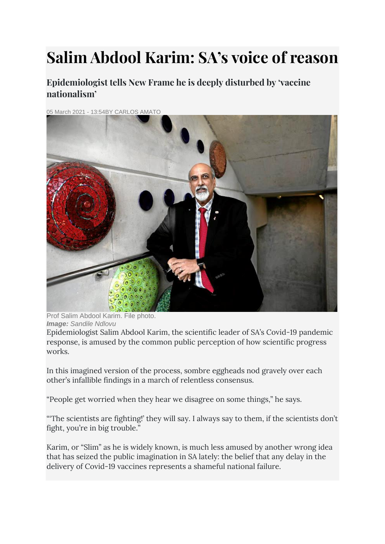# **Salim Abdool Karim: SA's voice of reason**

**Epidemiologist tells New Frame he is deeply disturbed by 'vaccine nationalism'**

05 March 2021 - 13:54BY [CARLOS AMATO](https://lh3.googleusercontent.com/5o36P2ng7gLyuFqUhHofZpAmqBehjj1NtrCshuHnm3Okh1UNOBGUyLUTbrxNE9wwb-gGk3vT40ydjga5-MdvlX0=s1200)



Prof Salim Abdool Karim. File photo. *Image: Sandile Ndlovu*

Epidemiologist Salim Abdool Karim, the scientific leader of SA's Covid-19 pandemic response, is amused by the common public perception of how scientific progress works.

In this imagined version of the process, sombre eggheads nod gravely over each other's infallible findings in a march of relentless consensus.

"People get worried when they hear we disagree on some things," he says.

"The scientists are fighting!' they will say. I always say to them, if the scientists don't fight, you're in big trouble."

Karim, or "Slim" as he is widely known, is much less amused by another wrong idea that has seized the public imagination in SA lately: the belief that any delay in the delivery of Covid-19 vaccines represents a shameful national failure.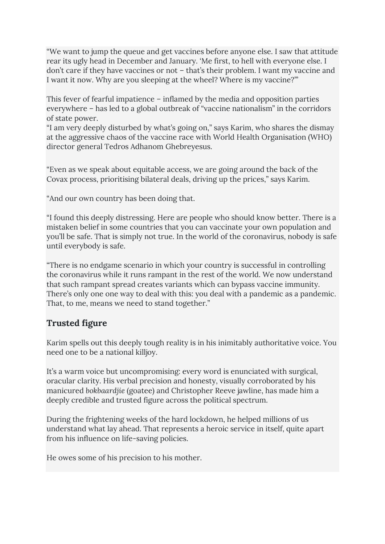"We want to jump the queue and get vaccines before anyone else. I saw that attitude rear its ugly head in December and January. 'Me first, to hell with everyone else. I don't care if they have vaccines or not – that's their problem. I want my vaccine and I want it now. Why are you sleeping at the wheel? Where is my vaccine?'"

This fever of fearful impatience – inflamed by the media and opposition parties everywhere – has led to a global outbreak of "vaccine nationalism" in the corridors of state power.

"I am very deeply disturbed by what's going on," says Karim, who shares the dismay at the aggressive chaos of the vaccine race with World Health Organisation (WHO) director general Tedros Adhanom Ghebreyesus.

"Even as we speak about equitable access, we are going around the back of the Covax process, prioritising bilateral deals, driving up the prices," says Karim.

"And our own country has been doing that.

"I found this deeply distressing. Here are people who should know better. There is a mistaken belief in some countries that you can vaccinate your own population and you'll be safe. That is simply not true. In the world of the coronavirus, nobody is safe until everybody is safe.

"There is no endgame scenario in which your country is successful in controlling the coronavirus while it runs rampant in the rest of the world. We now understand that such rampant spread creates variants which can bypass vaccine immunity. There's only one one way to deal with this: you deal with a pandemic as a pandemic. That, to me, means we need to stand together."

# **Trusted figure**

Karim spells out this deeply tough reality is in his inimitably authoritative voice. You need one to be a national killjoy.

It's a warm voice but uncompromising: every word is enunciated with surgical, oracular clarity. His verbal precision and honesty, visually corroborated by his manicured *bokbaardjie* (goatee) and Christopher Reeve jawline, has made him a deeply credible and trusted figure across the political spectrum.

During the frightening weeks of the hard lockdown, he helped millions of us understand what lay ahead. That represents a heroic service in itself, quite apart from his influence on life-saving policies.

He owes some of his precision to his mother.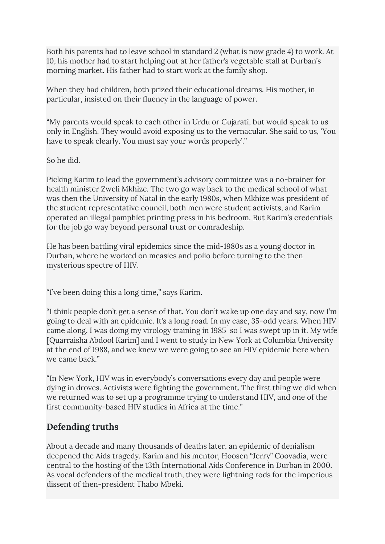Both his parents had to leave school in standard 2 (what is now grade 4) to work. At 10, his mother had to start helping out at her father's vegetable stall at Durban's morning market. His father had to start work at the family shop.

When they had children, both prized their educational dreams. His mother, in particular, insisted on their fluency in the language of power.

"My parents would speak to each other in Urdu or Gujarati, but would speak to us only in English. They would avoid exposing us to the vernacular. She said to us, 'You have to speak clearly. You must say your words properly'."

So he did.

Picking Karim to lead the government's advisory committee was a no-brainer for health minister Zweli Mkhize. The two go way back to the medical school of what was then the University of Natal in the early 1980s, when Mkhize was president of the student representative council, both men were student activists, and Karim operated an illegal pamphlet printing press in his bedroom. But Karim's credentials for the job go way beyond personal trust or comradeship.

He has been battling viral epidemics since the mid-1980s as a young doctor in Durban, where he worked on measles and polio before turning to the then mysterious spectre of HIV.

"I've been doing this a long time," says Karim.

"I think people don't get a sense of that. You don't wake up one day and say, now I'm going to deal with an epidemic. It's a long road. In my case, 35-odd years. When HIV came along, I was doing my virology training in 1985 so I was swept up in it. My wife [Quarraisha Abdool Karim] and I went to study in New York at Columbia University at the end of 1988, and we knew we were going to see an HIV epidemic here when we came back."

"In New York, HIV was in everybody's conversations every day and people were dying in droves. Activists were fighting the government. The first thing we did when we returned was to set up a programme trying to understand HIV, and one of the first community-based HIV studies in Africa at the time."

# **Defending truths**

About a decade and many thousands of deaths later, an epidemic of denialism deepened the Aids tragedy. Karim and his mentor, Hoosen "Jerry" Coovadia, were central to the hosting of the 13th International Aids Conference in Durban in 2000. As vocal defenders of the medical truth, they were lightning rods for the imperious dissent of then-president Thabo Mbeki.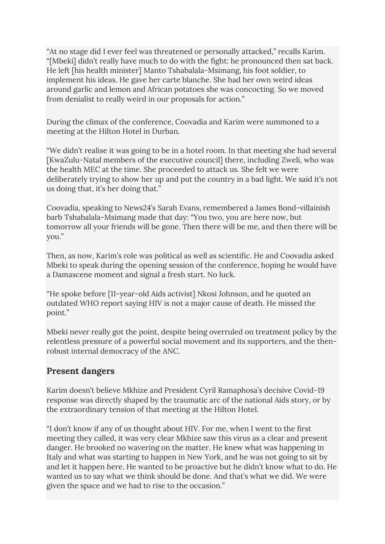"At no stage did I ever feel was threatened or personally attacked," recalls Karim. "[Mbeki] didn't really have much to do with the fight: he pronounced then sat back. He left [his health minister] Manto Tshabalala-Msimang, his foot soldier, to implement his ideas. He gave her carte blanche. She had her own weird ideas around garlic and lemon and African potatoes she was concocting. So we moved from denialist to really weird in our proposals for action."

During the climax of the conference, Coovadia and Karim were summoned to a meeting at the Hilton Hotel in Durban.

"We didn't realise it was going to be in a hotel room. In that meeting she had several [KwaZulu-Natal members of the executive council] there, including Zweli, who was the health MEC at the time. She proceeded to attack us. She felt we were deliberately trying to show her up and put the country in a bad light. We said it's not us doing that, it's her doing that."

Coovadia, speaking to News24's Sarah Evans, remembered a James Bond-villainish barb Tshabalala-Msimang made that day: "You two, you are here now, but tomorrow all your friends will be gone. Then there will be me, and then there will be you."

Then, as now, Karim's role was political as well as scientific. He and Coovadia asked Mbeki to speak during the opening session of the conference, hoping he would have a Damascene moment and signal a fresh start. No luck.

"He spoke before [11-year-old Aids activist] Nkosi Johnson, and he quoted an outdated WHO report saying HIV is not a major cause of death. He missed the point."

Mbeki never really got the point, despite being overruled on treatment policy by the relentless pressure of a powerful social movement and its supporters, and the thenrobust internal democracy of the ANC.

### **Present dangers**

Karim doesn't believe Mkhize and President Cyril Ramaphosa's decisive Covid-19 response was directly shaped by the traumatic arc of the national Aids story, or by the extraordinary tension of that meeting at the Hilton Hotel.

"I don't know if any of us thought about HIV. For me, when I went to the first meeting they called, it was very clear Mkhize saw this virus as a clear and present danger. He brooked no wavering on the matter. He knew what was happening in Italy and what was starting to happen in New York, and he was not going to sit by and let it happen here. He wanted to be proactive but he didn't know what to do. He wanted us to say what we think should be done. And that's what we did. We were given the space and we had to rise to the occasion."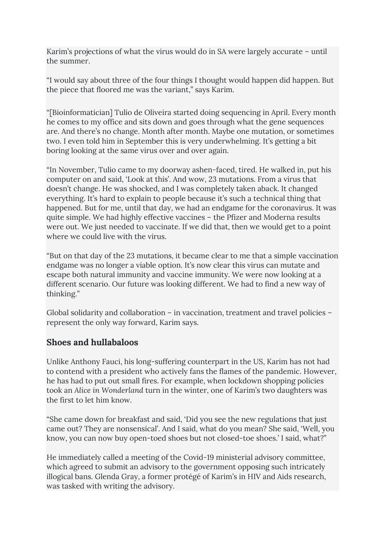Karim's projections of what the virus would do in SA were largely accurate – until the summer.

"I would say about three of the four things I thought would happen did happen. But the piece that floored me was the variant," says Karim.

"[Bioinformatician] Tulio de Oliveira started doing sequencing in April. Every month he comes to my office and sits down and goes through what the gene sequences are. And there's no change. Month after month. Maybe one mutation, or sometimes two. I even told him in September this is very underwhelming. It's getting a bit boring looking at the same virus over and over again.

"In November, Tulio came to my doorway ashen-faced, tired. He walked in, put his computer on and said, 'Look at this'. And wow, 23 mutations. From a virus that doesn't change. He was shocked, and I was completely taken aback. It changed everything. It's hard to explain to people because it's such a technical thing that happened. But for me, until that day, we had an endgame for the coronavirus. It was quite simple. We had highly effective vaccines – the Pfizer and Moderna results were out. We just needed to vaccinate. If we did that, then we would get to a point where we could live with the virus.

"But on that day of the 23 mutations, it became clear to me that a simple vaccination endgame was no longer a viable option. It's now clear this virus can mutate and escape both natural immunity and vaccine immunity. We were now looking at a different scenario. Our future was looking different. We had to find a new way of thinking."

Global solidarity and collaboration – in vaccination, treatment and travel policies – represent the only way forward, Karim says.

### **Shoes and hullabaloos**

Unlike Anthony Fauci, his long-suffering counterpart in the US, Karim has not had to contend with a president who actively fans the flames of the pandemic. However, he has had to put out small fires. For example, when lockdown shopping policies took an *Alice in Wonderland* turn in the winter, one of Karim's two daughters was the first to let him know.

"She came down for breakfast and said, 'Did you see the new regulations that just came out? They are nonsensical'. And I said, what do you mean? She said, 'Well, you know, you can now buy open-toed shoes but not closed-toe shoes.' I said, what?"

He immediately called a meeting of the Covid-19 ministerial advisory committee, which agreed to submit an advisory to the government opposing such intricately illogical bans. Glenda Gray, a former protégé of Karim's in HIV and Aids research, was tasked with writing the advisory.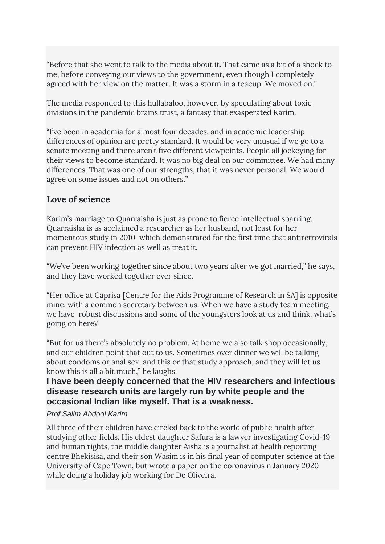"Before that she went to talk to the media about it. That came as a bit of a shock to me, before conveying our views to the government, even though I completely agreed with her view on the matter. It was a storm in a teacup. We moved on."

The media responded to this hullabaloo, however, by speculating about toxic divisions in the pandemic brains trust, a fantasy that exasperated Karim.

"I've been in academia for almost four decades, and in academic leadership differences of opinion are pretty standard. It would be very unusual if we go to a senate meeting and there aren't five different viewpoints. People all jockeying for their views to become standard. It was no big deal on our committee. We had many differences. That was one of our strengths, that it was never personal. We would agree on some issues and not on others."

# **Love of science**

Karim's marriage to Quarraisha is just as prone to fierce intellectual sparring. Quarraisha is as acclaimed a researcher as her husband, not least for her momentous study in 2010 which demonstrated for the first time that antiretrovirals can prevent HIV infection as well as treat it.

"We've been working together since about two years after we got married," he says, and they have worked together ever since.

"Her office at Caprisa [Centre for the Aids Programme of Research in SA] is opposite mine, with a common secretary between us. When we have a study team meeting, we have robust discussions and some of the youngsters look at us and think, what's going on here?

"But for us there's absolutely no problem. At home we also talk shop occasionally, and our children point that out to us. Sometimes over dinner we will be talking about condoms or anal sex, and this or that study approach, and they will let us know this is all a bit much," he laughs.

#### **I have been deeply concerned that the HIV researchers and infectious disease research units are largely run by white people and the occasional Indian like myself. That is a weakness.**

#### *Prof Salim Abdool Karim*

All three of their children have circled back to the world of public health after studying other fields. His eldest daughter Safura is a lawyer investigating Covid-19 and human rights, the middle daughter Aisha is a journalist at health reporting centre Bhekisisa, and their son Wasim is in his final year of computer science at the University of Cape Town, but wrote a paper on the coronavirus n January 2020 while doing a holiday job working for De Oliveira.